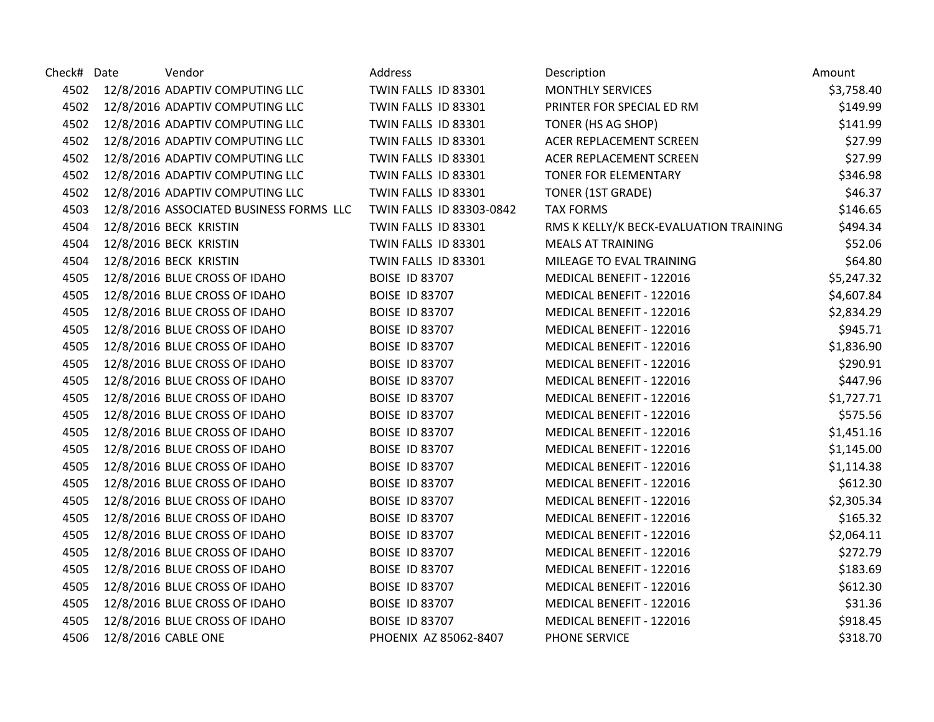| Check# Date | Vendor                                  | Address                  | Description                            | Amount     |
|-------------|-----------------------------------------|--------------------------|----------------------------------------|------------|
| 4502        | 12/8/2016 ADAPTIV COMPUTING LLC         | TWIN FALLS ID 83301      | <b>MONTHLY SERVICES</b>                | \$3,758.40 |
| 4502        | 12/8/2016 ADAPTIV COMPUTING LLC         | TWIN FALLS ID 83301      | PRINTER FOR SPECIAL ED RM              | \$149.99   |
|             | 4502 12/8/2016 ADAPTIV COMPUTING LLC    | TWIN FALLS ID 83301      | TONER (HS AG SHOP)                     | \$141.99   |
| 4502        | 12/8/2016 ADAPTIV COMPUTING LLC         | TWIN FALLS ID 83301      | ACER REPLACEMENT SCREEN                | \$27.99    |
| 4502        | 12/8/2016 ADAPTIV COMPUTING LLC         | TWIN FALLS ID 83301      | ACER REPLACEMENT SCREEN                | \$27.99    |
| 4502        | 12/8/2016 ADAPTIV COMPUTING LLC         | TWIN FALLS ID 83301      | <b>TONER FOR ELEMENTARY</b>            | \$346.98   |
| 4502        | 12/8/2016 ADAPTIV COMPUTING LLC         | TWIN FALLS ID 83301      | TONER (1ST GRADE)                      | \$46.37    |
| 4503        | 12/8/2016 ASSOCIATED BUSINESS FORMS LLC | TWIN FALLS ID 83303-0842 | <b>TAX FORMS</b>                       | \$146.65   |
| 4504        | 12/8/2016 BECK KRISTIN                  | TWIN FALLS ID 83301      | RMS K KELLY/K BECK-EVALUATION TRAINING | \$494.34   |
| 4504        | 12/8/2016 BECK KRISTIN                  | TWIN FALLS ID 83301      | <b>MEALS AT TRAINING</b>               | \$52.06    |
| 4504        | 12/8/2016 BECK KRISTIN                  | TWIN FALLS ID 83301      | MILEAGE TO EVAL TRAINING               | \$64.80    |
| 4505        | 12/8/2016 BLUE CROSS OF IDAHO           | <b>BOISE ID 83707</b>    | MEDICAL BENEFIT - 122016               | \$5,247.32 |
| 4505        | 12/8/2016 BLUE CROSS OF IDAHO           | <b>BOISE ID 83707</b>    | MEDICAL BENEFIT - 122016               | \$4,607.84 |
| 4505        | 12/8/2016 BLUE CROSS OF IDAHO           | <b>BOISE ID 83707</b>    | MEDICAL BENEFIT - 122016               | \$2,834.29 |
| 4505        | 12/8/2016 BLUE CROSS OF IDAHO           | <b>BOISE ID 83707</b>    | MEDICAL BENEFIT - 122016               | \$945.71   |
| 4505        | 12/8/2016 BLUE CROSS OF IDAHO           | <b>BOISE ID 83707</b>    | MEDICAL BENEFIT - 122016               | \$1,836.90 |
| 4505        | 12/8/2016 BLUE CROSS OF IDAHO           | <b>BOISE ID 83707</b>    | MEDICAL BENEFIT - 122016               | \$290.91   |
| 4505        | 12/8/2016 BLUE CROSS OF IDAHO           | <b>BOISE ID 83707</b>    | MEDICAL BENEFIT - 122016               | \$447.96   |
| 4505        | 12/8/2016 BLUE CROSS OF IDAHO           | <b>BOISE ID 83707</b>    | MEDICAL BENEFIT - 122016               | \$1,727.71 |
| 4505        | 12/8/2016 BLUE CROSS OF IDAHO           | <b>BOISE ID 83707</b>    | MEDICAL BENEFIT - 122016               | \$575.56   |
| 4505        | 12/8/2016 BLUE CROSS OF IDAHO           | <b>BOISE ID 83707</b>    | MEDICAL BENEFIT - 122016               | \$1,451.16 |
| 4505        | 12/8/2016 BLUE CROSS OF IDAHO           | <b>BOISE ID 83707</b>    | MEDICAL BENEFIT - 122016               | \$1,145.00 |
| 4505        | 12/8/2016 BLUE CROSS OF IDAHO           | <b>BOISE ID 83707</b>    | MEDICAL BENEFIT - 122016               | \$1,114.38 |
| 4505        | 12/8/2016 BLUE CROSS OF IDAHO           | <b>BOISE ID 83707</b>    | MEDICAL BENEFIT - 122016               | \$612.30   |
| 4505        | 12/8/2016 BLUE CROSS OF IDAHO           | <b>BOISE ID 83707</b>    | MEDICAL BENEFIT - 122016               | \$2,305.34 |
| 4505        | 12/8/2016 BLUE CROSS OF IDAHO           | <b>BOISE ID 83707</b>    | MEDICAL BENEFIT - 122016               | \$165.32   |
| 4505        | 12/8/2016 BLUE CROSS OF IDAHO           | <b>BOISE ID 83707</b>    | MEDICAL BENEFIT - 122016               | \$2,064.11 |
| 4505        | 12/8/2016 BLUE CROSS OF IDAHO           | <b>BOISE ID 83707</b>    | MEDICAL BENEFIT - 122016               | \$272.79   |
| 4505        | 12/8/2016 BLUE CROSS OF IDAHO           | <b>BOISE ID 83707</b>    | MEDICAL BENEFIT - 122016               | \$183.69   |
| 4505        | 12/8/2016 BLUE CROSS OF IDAHO           | <b>BOISE ID 83707</b>    | MEDICAL BENEFIT - 122016               | \$612.30   |
| 4505        | 12/8/2016 BLUE CROSS OF IDAHO           | <b>BOISE ID 83707</b>    | MEDICAL BENEFIT - 122016               | \$31.36    |
| 4505        | 12/8/2016 BLUE CROSS OF IDAHO           | <b>BOISE ID 83707</b>    | MEDICAL BENEFIT - 122016               | \$918.45   |
| 4506        | 12/8/2016 CABLE ONE                     | PHOENIX AZ 85062-8407    | PHONE SERVICE                          | \$318.70   |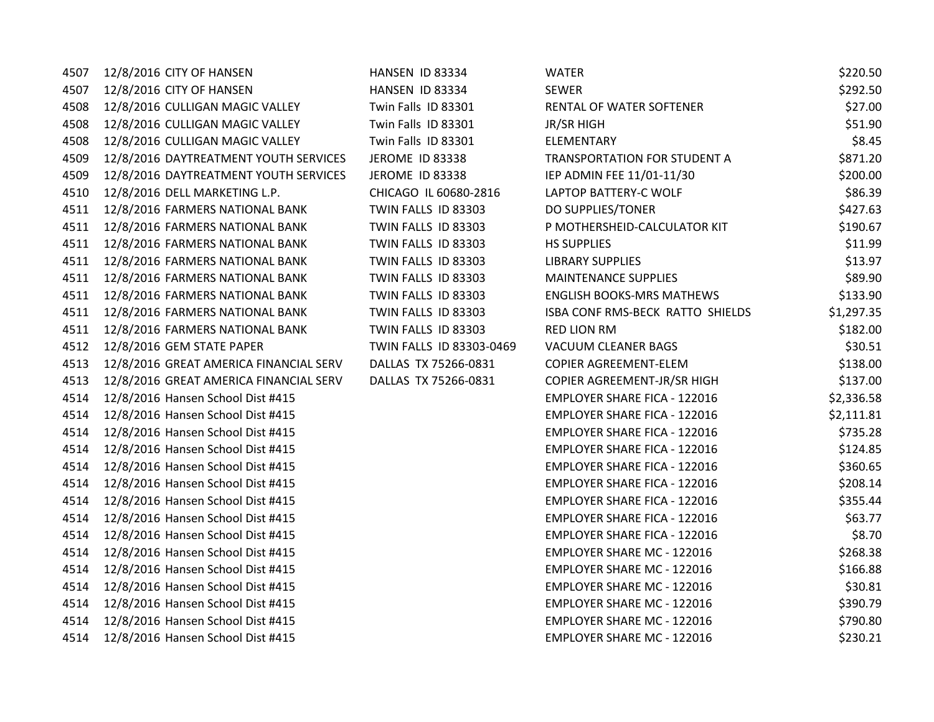| 4507 | 12/8/2016 CITY OF HANSEN               | HANSEN ID 83334          | <b>WATER</b>                        | \$220.50   |
|------|----------------------------------------|--------------------------|-------------------------------------|------------|
| 4507 | 12/8/2016 CITY OF HANSEN               | HANSEN ID 83334          | <b>SEWER</b>                        | \$292.50   |
| 4508 | 12/8/2016 CULLIGAN MAGIC VALLEY        | Twin Falls ID 83301      | RENTAL OF WATER SOFTENER            | \$27.00    |
| 4508 | 12/8/2016 CULLIGAN MAGIC VALLEY        | Twin Falls ID 83301      | <b>JR/SR HIGH</b>                   | \$51.90    |
| 4508 | 12/8/2016 CULLIGAN MAGIC VALLEY        | Twin Falls ID 83301      | ELEMENTARY                          | \$8.45     |
| 4509 | 12/8/2016 DAYTREATMENT YOUTH SERVICES  | JEROME ID 83338          | TRANSPORTATION FOR STUDENT A        | \$871.20   |
| 4509 | 12/8/2016 DAYTREATMENT YOUTH SERVICES  | JEROME ID 83338          | IEP ADMIN FEE 11/01-11/30           | \$200.00   |
| 4510 | 12/8/2016 DELL MARKETING L.P.          | CHICAGO IL 60680-2816    | LAPTOP BATTERY-C WOLF               | \$86.39    |
| 4511 | 12/8/2016 FARMERS NATIONAL BANK        | TWIN FALLS ID 83303      | DO SUPPLIES/TONER                   | \$427.63   |
| 4511 | 12/8/2016 FARMERS NATIONAL BANK        | TWIN FALLS ID 83303      | P MOTHERSHEID-CALCULATOR KIT        | \$190.67   |
| 4511 | 12/8/2016 FARMERS NATIONAL BANK        | TWIN FALLS ID 83303      | <b>HS SUPPLIES</b>                  | \$11.99    |
| 4511 | 12/8/2016 FARMERS NATIONAL BANK        | TWIN FALLS ID 83303      | <b>LIBRARY SUPPLIES</b>             | \$13.97    |
| 4511 | 12/8/2016 FARMERS NATIONAL BANK        | TWIN FALLS ID 83303      | <b>MAINTENANCE SUPPLIES</b>         | \$89.90    |
| 4511 | 12/8/2016 FARMERS NATIONAL BANK        | TWIN FALLS ID 83303      | <b>ENGLISH BOOKS-MRS MATHEWS</b>    | \$133.90   |
| 4511 | 12/8/2016 FARMERS NATIONAL BANK        | TWIN FALLS ID 83303      | ISBA CONF RMS-BECK RATTO SHIELDS    | \$1,297.35 |
| 4511 | 12/8/2016 FARMERS NATIONAL BANK        | TWIN FALLS ID 83303      | <b>RED LION RM</b>                  | \$182.00   |
| 4512 | 12/8/2016 GEM STATE PAPER              | TWIN FALLS ID 83303-0469 | <b>VACUUM CLEANER BAGS</b>          | \$30.51    |
| 4513 | 12/8/2016 GREAT AMERICA FINANCIAL SERV | DALLAS TX 75266-0831     | COPIER AGREEMENT-ELEM               | \$138.00   |
| 4513 | 12/8/2016 GREAT AMERICA FINANCIAL SERV | DALLAS TX 75266-0831     | COPIER AGREEMENT-JR/SR HIGH         | \$137.00   |
| 4514 | 12/8/2016 Hansen School Dist #415      |                          | EMPLOYER SHARE FICA - 122016        | \$2,336.58 |
| 4514 | 12/8/2016 Hansen School Dist #415      |                          | <b>EMPLOYER SHARE FICA - 122016</b> | \$2,111.81 |
| 4514 | 12/8/2016 Hansen School Dist #415      |                          | <b>EMPLOYER SHARE FICA - 122016</b> | \$735.28   |
| 4514 | 12/8/2016 Hansen School Dist #415      |                          | <b>EMPLOYER SHARE FICA - 122016</b> | \$124.85   |
| 4514 | 12/8/2016 Hansen School Dist #415      |                          | <b>EMPLOYER SHARE FICA - 122016</b> | \$360.65   |
| 4514 | 12/8/2016 Hansen School Dist #415      |                          | <b>EMPLOYER SHARE FICA - 122016</b> | \$208.14   |
| 4514 | 12/8/2016 Hansen School Dist #415      |                          | <b>EMPLOYER SHARE FICA - 122016</b> | \$355.44   |
| 4514 | 12/8/2016 Hansen School Dist #415      |                          | <b>EMPLOYER SHARE FICA - 122016</b> | \$63.77    |
| 4514 | 12/8/2016 Hansen School Dist #415      |                          | EMPLOYER SHARE FICA - 122016        | \$8.70     |
| 4514 | 12/8/2016 Hansen School Dist #415      |                          | EMPLOYER SHARE MC - 122016          | \$268.38   |
| 4514 | 12/8/2016 Hansen School Dist #415      |                          | EMPLOYER SHARE MC - 122016          | \$166.88   |
| 4514 | 12/8/2016 Hansen School Dist #415      |                          | EMPLOYER SHARE MC - 122016          | \$30.81    |
| 4514 | 12/8/2016 Hansen School Dist #415      |                          | EMPLOYER SHARE MC - 122016          | \$390.79   |
| 4514 | 12/8/2016 Hansen School Dist #415      |                          | <b>EMPLOYER SHARE MC - 122016</b>   | \$790.80   |
| 4514 | 12/8/2016 Hansen School Dist #415      |                          | <b>EMPLOYER SHARE MC - 122016</b>   | \$230.21   |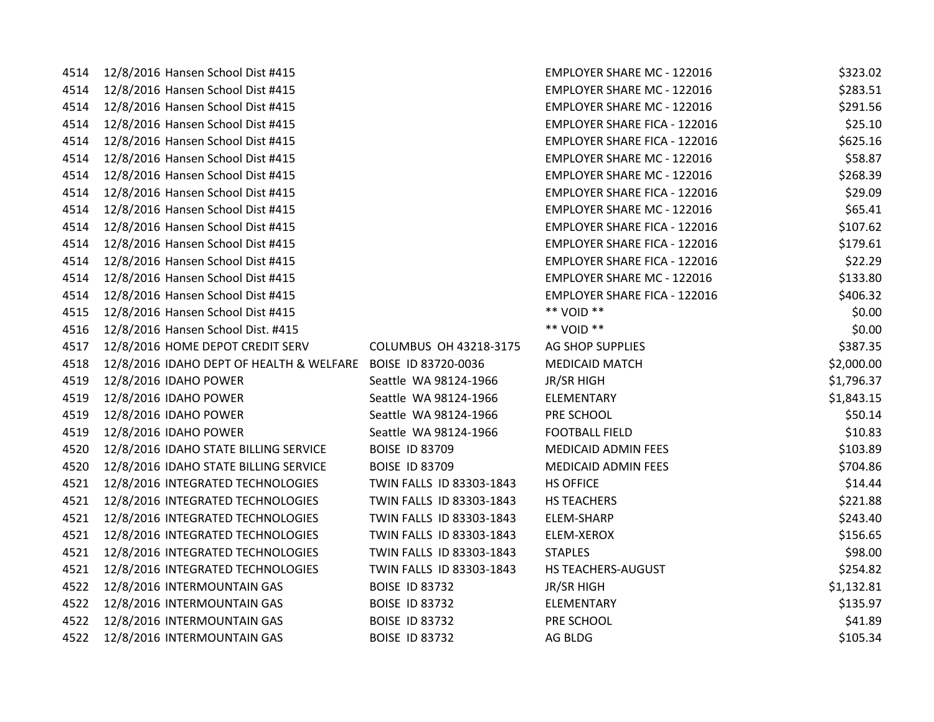| 4514 | 12/8/2016 Hansen School Dist #415                            |                          | <b>EMPLOYER SHARE MC - 122016</b>   | \$323.02   |
|------|--------------------------------------------------------------|--------------------------|-------------------------------------|------------|
| 4514 | 12/8/2016 Hansen School Dist #415                            |                          | <b>EMPLOYER SHARE MC - 122016</b>   | \$283.51   |
| 4514 | 12/8/2016 Hansen School Dist #415                            |                          | <b>EMPLOYER SHARE MC - 122016</b>   | \$291.56   |
| 4514 | 12/8/2016 Hansen School Dist #415                            |                          | <b>EMPLOYER SHARE FICA - 122016</b> | \$25.10    |
| 4514 | 12/8/2016 Hansen School Dist #415                            |                          | <b>EMPLOYER SHARE FICA - 122016</b> | \$625.16   |
| 4514 | 12/8/2016 Hansen School Dist #415                            |                          | <b>EMPLOYER SHARE MC - 122016</b>   | \$58.87    |
| 4514 | 12/8/2016 Hansen School Dist #415                            |                          | <b>EMPLOYER SHARE MC - 122016</b>   | \$268.39   |
| 4514 | 12/8/2016 Hansen School Dist #415                            |                          | <b>EMPLOYER SHARE FICA - 122016</b> | \$29.09    |
| 4514 | 12/8/2016 Hansen School Dist #415                            |                          | <b>EMPLOYER SHARE MC - 122016</b>   | \$65.41    |
| 4514 | 12/8/2016 Hansen School Dist #415                            |                          | <b>EMPLOYER SHARE FICA - 122016</b> | \$107.62   |
| 4514 | 12/8/2016 Hansen School Dist #415                            |                          | <b>EMPLOYER SHARE FICA - 122016</b> | \$179.61   |
| 4514 | 12/8/2016 Hansen School Dist #415                            |                          | <b>EMPLOYER SHARE FICA - 122016</b> | \$22.29    |
| 4514 | 12/8/2016 Hansen School Dist #415                            |                          | <b>EMPLOYER SHARE MC - 122016</b>   | \$133.80   |
| 4514 | 12/8/2016 Hansen School Dist #415                            |                          | <b>EMPLOYER SHARE FICA - 122016</b> | \$406.32   |
| 4515 | 12/8/2016 Hansen School Dist #415                            |                          | ** VOID **                          | \$0.00     |
| 4516 | 12/8/2016 Hansen School Dist. #415                           |                          | ** VOID **                          | \$0.00     |
| 4517 | 12/8/2016 HOME DEPOT CREDIT SERV                             | COLUMBUS OH 43218-3175   | <b>AG SHOP SUPPLIES</b>             | \$387.35   |
| 4518 | 12/8/2016 IDAHO DEPT OF HEALTH & WELFARE BOISE ID 83720-0036 |                          | <b>MEDICAID MATCH</b>               | \$2,000.00 |
| 4519 | 12/8/2016 IDAHO POWER                                        | Seattle WA 98124-1966    | <b>JR/SR HIGH</b>                   | \$1,796.37 |
| 4519 | 12/8/2016 IDAHO POWER                                        | Seattle WA 98124-1966    | ELEMENTARY                          | \$1,843.15 |
| 4519 | 12/8/2016 IDAHO POWER                                        | Seattle WA 98124-1966    | PRE SCHOOL                          | \$50.14    |
| 4519 | 12/8/2016 IDAHO POWER                                        | Seattle WA 98124-1966    | <b>FOOTBALL FIELD</b>               | \$10.83    |
| 4520 | 12/8/2016 IDAHO STATE BILLING SERVICE                        | <b>BOISE ID 83709</b>    | MEDICAID ADMIN FEES                 | \$103.89   |
| 4520 | 12/8/2016 IDAHO STATE BILLING SERVICE                        | <b>BOISE ID 83709</b>    | <b>MEDICAID ADMIN FEES</b>          | \$704.86   |
| 4521 | 12/8/2016 INTEGRATED TECHNOLOGIES                            | TWIN FALLS ID 83303-1843 | <b>HS OFFICE</b>                    | \$14.44    |
| 4521 | 12/8/2016 INTEGRATED TECHNOLOGIES                            | TWIN FALLS ID 83303-1843 | <b>HS TEACHERS</b>                  | \$221.88   |
| 4521 | 12/8/2016 INTEGRATED TECHNOLOGIES                            | TWIN FALLS ID 83303-1843 | ELEM-SHARP                          | \$243.40   |
| 4521 | 12/8/2016 INTEGRATED TECHNOLOGIES                            | TWIN FALLS ID 83303-1843 | ELEM-XEROX                          | \$156.65   |
| 4521 | 12/8/2016 INTEGRATED TECHNOLOGIES                            | TWIN FALLS ID 83303-1843 | <b>STAPLES</b>                      | \$98.00    |
| 4521 | 12/8/2016 INTEGRATED TECHNOLOGIES                            | TWIN FALLS ID 83303-1843 | HS TEACHERS-AUGUST                  | \$254.82   |
| 4522 | 12/8/2016 INTERMOUNTAIN GAS                                  | <b>BOISE ID 83732</b>    | JR/SR HIGH                          | \$1,132.81 |
| 4522 | 12/8/2016 INTERMOUNTAIN GAS                                  | <b>BOISE ID 83732</b>    | ELEMENTARY                          | \$135.97   |
| 4522 | 12/8/2016 INTERMOUNTAIN GAS                                  | <b>BOISE ID 83732</b>    | PRE SCHOOL                          | \$41.89    |
| 4522 | 12/8/2016 INTERMOUNTAIN GAS                                  | <b>BOISE ID 83732</b>    | AG BLDG                             | \$105.34   |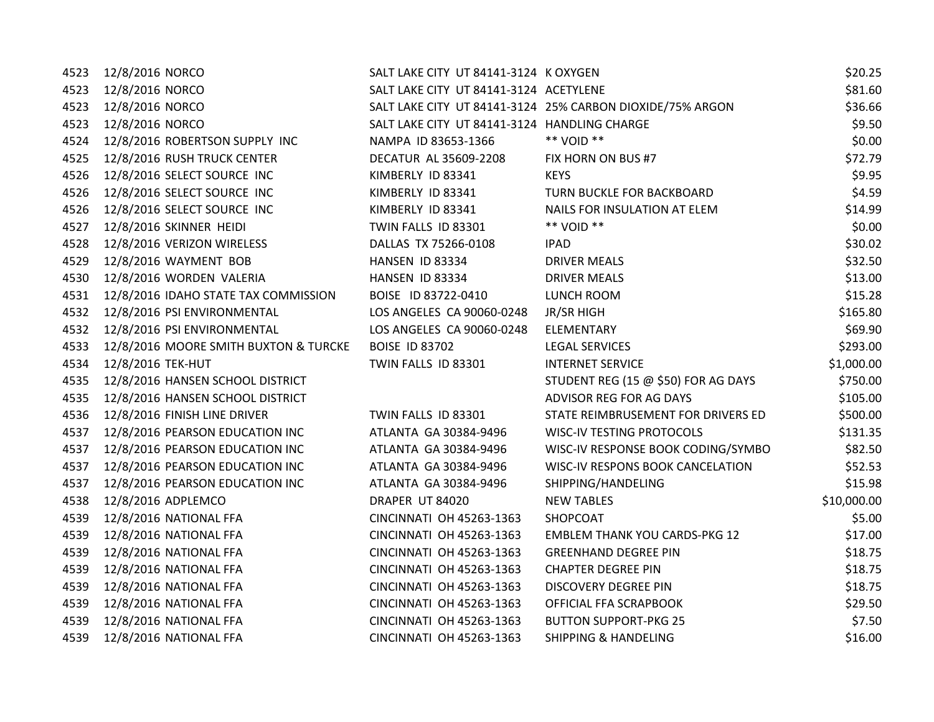| 4523 | 12/8/2016 NORCO                       | SALT LAKE CITY UT 84141-3124 K OXYGEN        |                                                           | \$20.25     |
|------|---------------------------------------|----------------------------------------------|-----------------------------------------------------------|-------------|
| 4523 | 12/8/2016 NORCO                       | SALT LAKE CITY UT 84141-3124 ACETYLENE       |                                                           | \$81.60     |
| 4523 | 12/8/2016 NORCO                       |                                              | SALT LAKE CITY UT 84141-3124 25% CARBON DIOXIDE/75% ARGON | \$36.66     |
| 4523 | 12/8/2016 NORCO                       | SALT LAKE CITY UT 84141-3124 HANDLING CHARGE |                                                           | \$9.50      |
| 4524 | 12/8/2016 ROBERTSON SUPPLY INC        | NAMPA ID 83653-1366                          | ** VOID **                                                | \$0.00      |
| 4525 | 12/8/2016 RUSH TRUCK CENTER           | DECATUR AL 35609-2208                        | FIX HORN ON BUS #7                                        | \$72.79     |
| 4526 | 12/8/2016 SELECT SOURCE INC           | KIMBERLY ID 83341                            | <b>KEYS</b>                                               | \$9.95      |
| 4526 | 12/8/2016 SELECT SOURCE INC           | KIMBERLY ID 83341                            | TURN BUCKLE FOR BACKBOARD                                 | \$4.59      |
| 4526 | 12/8/2016 SELECT SOURCE INC           | KIMBERLY ID 83341                            | NAILS FOR INSULATION AT ELEM                              | \$14.99     |
| 4527 | 12/8/2016 SKINNER HEIDI               | TWIN FALLS ID 83301                          | ** VOID **                                                | \$0.00      |
| 4528 | 12/8/2016 VERIZON WIRELESS            | DALLAS TX 75266-0108                         | <b>IPAD</b>                                               | \$30.02     |
| 4529 | 12/8/2016 WAYMENT BOB                 | HANSEN ID 83334                              | <b>DRIVER MEALS</b>                                       | \$32.50     |
| 4530 | 12/8/2016 WORDEN VALERIA              | HANSEN ID 83334                              | <b>DRIVER MEALS</b>                                       | \$13.00     |
| 4531 | 12/8/2016 IDAHO STATE TAX COMMISSION  | BOISE ID 83722-0410                          | LUNCH ROOM                                                | \$15.28     |
| 4532 | 12/8/2016 PSI ENVIRONMENTAL           | LOS ANGELES CA 90060-0248                    | JR/SR HIGH                                                | \$165.80    |
| 4532 | 12/8/2016 PSI ENVIRONMENTAL           | LOS ANGELES CA 90060-0248                    | ELEMENTARY                                                | \$69.90     |
| 4533 | 12/8/2016 MOORE SMITH BUXTON & TURCKE | <b>BOISE ID 83702</b>                        | <b>LEGAL SERVICES</b>                                     | \$293.00    |
| 4534 | 12/8/2016 TEK-HUT                     | TWIN FALLS ID 83301                          | <b>INTERNET SERVICE</b>                                   | \$1,000.00  |
| 4535 | 12/8/2016 HANSEN SCHOOL DISTRICT      |                                              | STUDENT REG (15 @ \$50) FOR AG DAYS                       | \$750.00    |
| 4535 | 12/8/2016 HANSEN SCHOOL DISTRICT      |                                              | ADVISOR REG FOR AG DAYS                                   | \$105.00    |
| 4536 | 12/8/2016 FINISH LINE DRIVER          | TWIN FALLS ID 83301                          | STATE REIMBRUSEMENT FOR DRIVERS ED                        | \$500.00    |
| 4537 | 12/8/2016 PEARSON EDUCATION INC       | ATLANTA GA 30384-9496                        | <b>WISC-IV TESTING PROTOCOLS</b>                          | \$131.35    |
| 4537 | 12/8/2016 PEARSON EDUCATION INC       | ATLANTA GA 30384-9496                        | WISC-IV RESPONSE BOOK CODING/SYMBO                        | \$82.50     |
| 4537 | 12/8/2016 PEARSON EDUCATION INC       | ATLANTA GA 30384-9496                        | WISC-IV RESPONS BOOK CANCELATION                          | \$52.53     |
| 4537 | 12/8/2016 PEARSON EDUCATION INC       | ATLANTA GA 30384-9496                        | SHIPPING/HANDELING                                        | \$15.98     |
| 4538 | 12/8/2016 ADPLEMCO                    | DRAPER UT 84020                              | <b>NEW TABLES</b>                                         | \$10,000.00 |
| 4539 | 12/8/2016 NATIONAL FFA                | CINCINNATI OH 45263-1363                     | SHOPCOAT                                                  | \$5.00      |
| 4539 | 12/8/2016 NATIONAL FFA                | CINCINNATI OH 45263-1363                     | <b>EMBLEM THANK YOU CARDS-PKG 12</b>                      | \$17.00     |
| 4539 | 12/8/2016 NATIONAL FFA                | CINCINNATI OH 45263-1363                     | <b>GREENHAND DEGREE PIN</b>                               | \$18.75     |
| 4539 | 12/8/2016 NATIONAL FFA                | CINCINNATI OH 45263-1363                     | <b>CHAPTER DEGREE PIN</b>                                 | \$18.75     |
| 4539 | 12/8/2016 NATIONAL FFA                | CINCINNATI OH 45263-1363                     | DISCOVERY DEGREE PIN                                      | \$18.75     |
| 4539 | 12/8/2016 NATIONAL FFA                | CINCINNATI OH 45263-1363                     | OFFICIAL FFA SCRAPBOOK                                    | \$29.50     |
| 4539 | 12/8/2016 NATIONAL FFA                | CINCINNATI OH 45263-1363                     | <b>BUTTON SUPPORT-PKG 25</b>                              | \$7.50      |
| 4539 | 12/8/2016 NATIONAL FFA                | CINCINNATI OH 45263-1363                     | <b>SHIPPING &amp; HANDELING</b>                           | \$16.00     |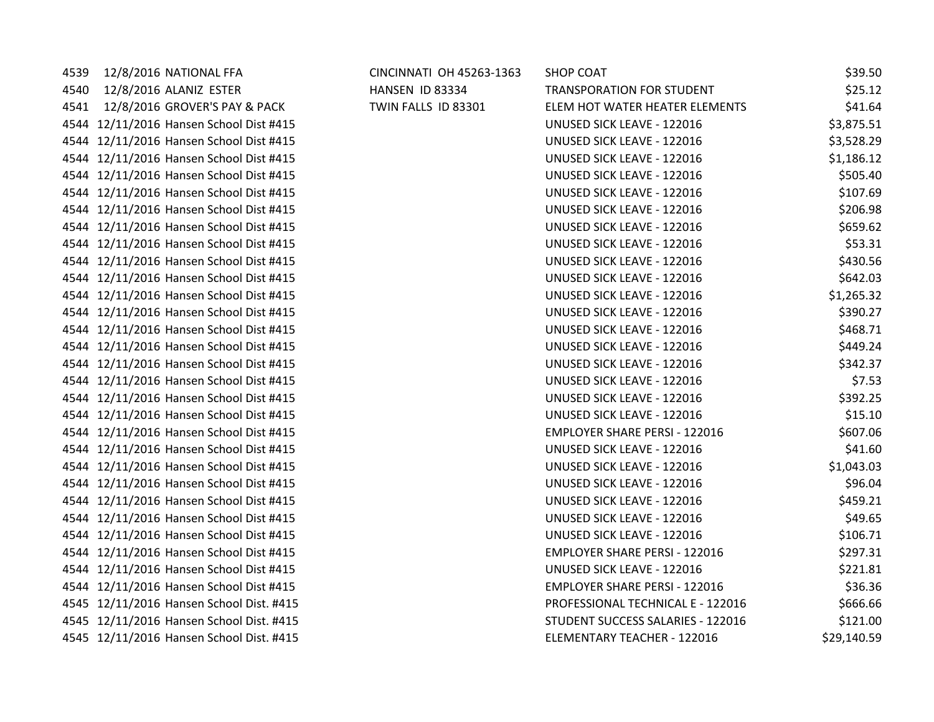| 4539 | 12/8/2016 NATIONAL FFA                   | CINCINNATI OH 45263-1363 | <b>SHOP COAT</b>                     | \$39.50     |
|------|------------------------------------------|--------------------------|--------------------------------------|-------------|
| 4540 | 12/8/2016 ALANIZ ESTER                   | HANSEN ID 83334          | <b>TRANSPORATION FOR STUDENT</b>     | \$25.12     |
| 4541 | 12/8/2016 GROVER'S PAY & PACK            | TWIN FALLS ID 83301      | ELEM HOT WATER HEATER ELEMENTS       | \$41.64     |
|      | 4544 12/11/2016 Hansen School Dist #415  |                          | UNUSED SICK LEAVE - 122016           | \$3,875.51  |
|      | 4544 12/11/2016 Hansen School Dist #415  |                          | UNUSED SICK LEAVE - 122016           | \$3,528.29  |
|      | 4544 12/11/2016 Hansen School Dist #415  |                          | <b>UNUSED SICK LEAVE - 122016</b>    | \$1,186.12  |
|      | 4544 12/11/2016 Hansen School Dist #415  |                          | UNUSED SICK LEAVE - 122016           | \$505.40    |
|      | 4544 12/11/2016 Hansen School Dist #415  |                          | UNUSED SICK LEAVE - 122016           | \$107.69    |
|      | 4544 12/11/2016 Hansen School Dist #415  |                          | UNUSED SICK LEAVE - 122016           | \$206.98    |
|      | 4544 12/11/2016 Hansen School Dist #415  |                          | <b>UNUSED SICK LEAVE - 122016</b>    | \$659.62    |
|      | 4544 12/11/2016 Hansen School Dist #415  |                          | UNUSED SICK LEAVE - 122016           | \$53.31     |
|      | 4544 12/11/2016 Hansen School Dist #415  |                          | UNUSED SICK LEAVE - 122016           | \$430.56    |
|      | 4544 12/11/2016 Hansen School Dist #415  |                          | UNUSED SICK LEAVE - 122016           | \$642.03    |
|      | 4544 12/11/2016 Hansen School Dist #415  |                          | <b>UNUSED SICK LEAVE - 122016</b>    | \$1,265.32  |
|      | 4544 12/11/2016 Hansen School Dist #415  |                          | UNUSED SICK LEAVE - 122016           | \$390.27    |
|      | 4544 12/11/2016 Hansen School Dist #415  |                          | UNUSED SICK LEAVE - 122016           | \$468.71    |
|      | 4544 12/11/2016 Hansen School Dist #415  |                          | UNUSED SICK LEAVE - 122016           | \$449.24    |
|      | 4544 12/11/2016 Hansen School Dist #415  |                          | <b>UNUSED SICK LEAVE - 122016</b>    | \$342.37    |
|      | 4544 12/11/2016 Hansen School Dist #415  |                          | <b>UNUSED SICK LEAVE - 122016</b>    | \$7.53      |
|      | 4544 12/11/2016 Hansen School Dist #415  |                          | UNUSED SICK LEAVE - 122016           | \$392.25    |
|      | 4544 12/11/2016 Hansen School Dist #415  |                          | UNUSED SICK LEAVE - 122016           | \$15.10     |
|      | 4544 12/11/2016 Hansen School Dist #415  |                          | <b>EMPLOYER SHARE PERSI - 122016</b> | \$607.06    |
|      | 4544 12/11/2016 Hansen School Dist #415  |                          | UNUSED SICK LEAVE - 122016           | \$41.60     |
|      | 4544 12/11/2016 Hansen School Dist #415  |                          | <b>UNUSED SICK LEAVE - 122016</b>    | \$1,043.03  |
|      | 4544 12/11/2016 Hansen School Dist #415  |                          | UNUSED SICK LEAVE - 122016           | \$96.04     |
|      | 4544 12/11/2016 Hansen School Dist #415  |                          | <b>UNUSED SICK LEAVE - 122016</b>    | \$459.21    |
|      | 4544 12/11/2016 Hansen School Dist #415  |                          | UNUSED SICK LEAVE - 122016           | \$49.65     |
|      | 4544 12/11/2016 Hansen School Dist #415  |                          | <b>UNUSED SICK LEAVE - 122016</b>    | \$106.71    |
|      | 4544 12/11/2016 Hansen School Dist #415  |                          | <b>EMPLOYER SHARE PERSI - 122016</b> | \$297.31    |
|      | 4544 12/11/2016 Hansen School Dist #415  |                          | UNUSED SICK LEAVE - 122016           | \$221.81    |
|      | 4544 12/11/2016 Hansen School Dist #415  |                          | <b>EMPLOYER SHARE PERSI - 122016</b> | \$36.36     |
|      | 4545 12/11/2016 Hansen School Dist. #415 |                          | PROFESSIONAL TECHNICAL E - 122016    | \$666.66    |
|      | 4545 12/11/2016 Hansen School Dist. #415 |                          | STUDENT SUCCESS SALARIES - 122016    | \$121.00    |
|      | 4545 12/11/2016 Hansen School Dist. #415 |                          | ELEMENTARY TEACHER - 122016          | \$29,140.59 |
|      |                                          |                          |                                      |             |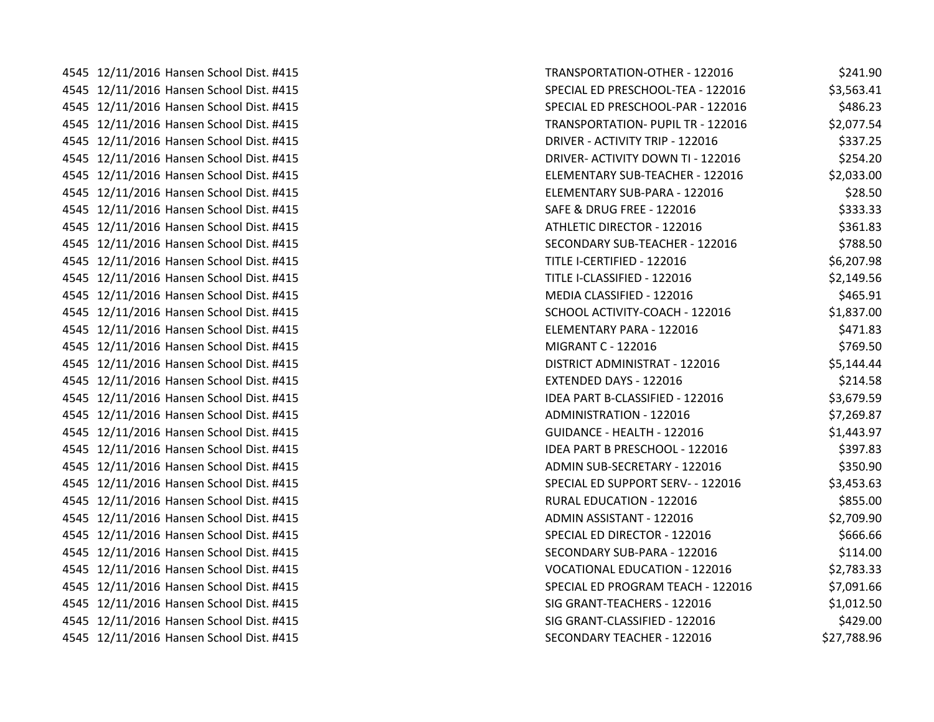4545 12/11/2016 Hansen School Dist. #415 4545 12/11/2016 Hansen School Dist. #415 4545 12/11/2016 Hansen School Dist. #415 4545 12/11/2016 Hansen School Dist. #415 4545 12/11/2016 Hansen School Dist. #415 4545 12/11/2016 Hansen School Dist. #415 4545 12/11/2016 Hansen School Dist. #415 4545 12/11/2016 Hansen School Dist. #415 4545 12/11/2016 Hansen School Dist. #415 4545 12/11/2016 Hansen School Dist. #415 4545 12/11/2016 Hansen School Dist. #415 4545 12/11/2016 Hansen School Dist. #415 4545 12/11/2016 Hansen School Dist. #415 4545 12/11/2016 Hansen School Dist. #415 4545 12/11/2016 Hansen School Dist. #415 4545 12/11/2016 Hansen School Dist. #415 4545 12/11/2016 Hansen School Dist. #415 4545 12/11/2016 Hansen School Dist. #415 4545 12/11/2016 Hansen School Dist. #415 4545 12/11/2016 Hansen School Dist. #415 4545 12/11/2016 Hansen School Dist. #415 4545 12/11/2016 Hansen School Dist. #415 4545 12/11/2016 Hansen School Dist. #415 4545 12/11/2016 Hansen School Dist. #415 4545 12/11/2016 Hansen School Dist. #415 4545 12/11/2016 Hansen School Dist. #415 4545 12/11/2016 Hansen School Dist. #415 4545 12/11/2016 Hansen School Dist. #415 4545 12/11/2016 Hansen School Dist. #415 4545 12/11/2016 Hansen School Dist. #415 4545 12/11/2016 Hansen School Dist. #415 4545 12/11/2016 Hansen School Dist. #415 4545 12/11/2016 Hansen School Dist. #415 4545 12/11/2016 Hansen School Dist. #415

| <b>FRANSPORTATION-OTHER - 122016</b>     | \$241.90    |
|------------------------------------------|-------------|
| SPECIAL ED PRESCHOOL-TEA - 122016        | \$3,563.41  |
| SPECIAL ED PRESCHOOL-PAR - 122016        | \$486.23    |
| <b>TRANSPORTATION- PUPIL TR - 122016</b> | \$2,077.54  |
| ORIVER - ACTIVITY TRIP - 122016          | \$337.25    |
| DRIVER- ACTIVITY DOWN TI - 122016        | \$254.20    |
| ELEMENTARY SUB-TEACHER - 122016          | \$2,033.00  |
| ELEMENTARY SUB-PARA - 122016             | \$28.50     |
| SAFE & DRUG FREE - 122016                | \$333.33    |
| ATHLETIC DIRECTOR - 122016               | \$361.83    |
| SECONDARY SUB-TEACHER - 122016           | \$788.50    |
| TITLE I-CERTIFIED - 122016               | \$6,207.98  |
| TITLE I-CLASSIFIED - 122016              | \$2,149.56  |
| MEDIA CLASSIFIED - 122016                | \$465.91    |
| SCHOOL ACTIVITY-COACH - 122016           | \$1,837.00  |
| ELEMENTARY PARA - 122016                 | \$471.83    |
| <b>MIGRANT C - 122016</b>                | \$769.50    |
| DISTRICT ADMINISTRAT - 122016            | \$5,144.44  |
| EXTENDED DAYS - 122016                   | \$214.58    |
| DEA PART B-CLASSIFIED - 122016           | \$3,679.59  |
| ADMINISTRATION - 122016                  | \$7,269.87  |
| <b>GUIDANCE - HEALTH - 122016</b>        | \$1,443.97  |
| DEA PART B PRESCHOOL - 122016            | \$397.83    |
| ADMIN SUB-SECRETARY - 122016             | \$350.90    |
| SPECIAL ED SUPPORT SERV- - 122016        | \$3,453.63  |
| RURAL EDUCATION - 122016                 | \$855.00    |
| ADMIN ASSISTANT - 122016                 | \$2,709.90  |
| SPECIAL ED DIRECTOR - 122016             | \$666.66    |
| SECONDARY SUB-PARA - 122016              | \$114.00    |
| <b>VOCATIONAL EDUCATION - 122016</b>     | \$2,783.33  |
| SPECIAL ED PROGRAM TEACH - 122016        | \$7,091.66  |
| SIG GRANT-TEACHERS - 122016              | \$1,012.50  |
| SIG GRANT-CLASSIFIED - 122016            | \$429.00    |
| <b>SECONDARY TEACHER - 122016</b>        | \$27,788.96 |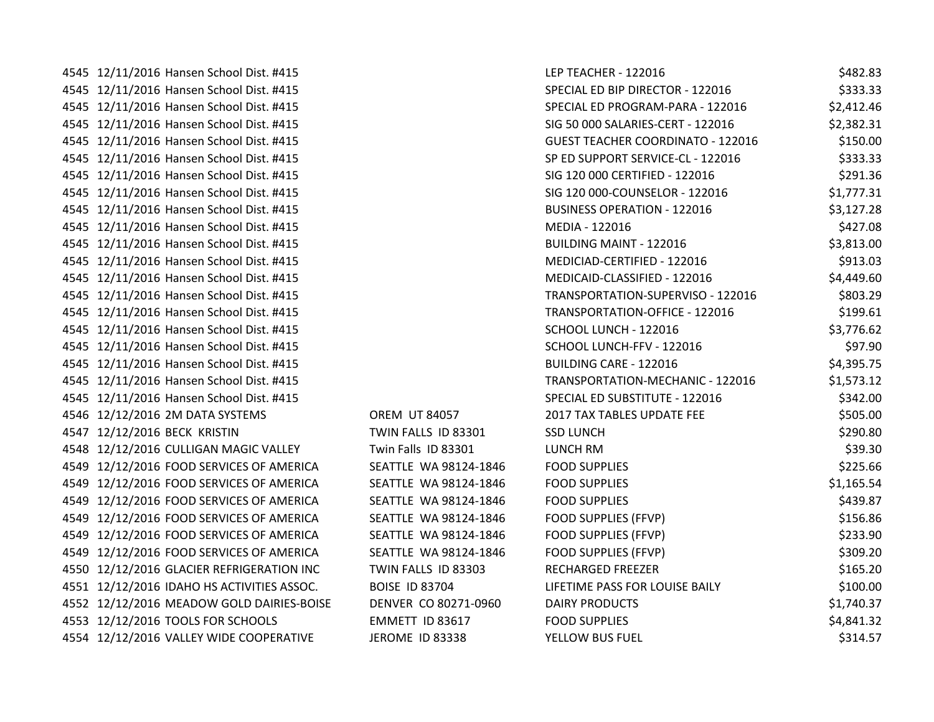4545 12/11/2016 Hansen School Dist. #415 4545 12/11/2016 Hansen School Dist. #415 4545 12/11/2016 Hansen School Dist. #415 4545 12/11/2016 Hansen School Dist. #415 4545 12/11/2016 Hansen School Dist. #415 4545 12/11/2016 Hansen School Dist. #415 4545 12/11/2016 Hansen School Dist. #415 4545 12/11/2016 Hansen School Dist. #415 4545 12/11/2016 Hansen School Dist. #415 4545 12/11/2016 Hansen School Dist. #415 4545 12/11/2016 Hansen School Dist. #415 4545 12/11/2016 Hansen School Dist. #415 4545 12/11/2016 Hansen School Dist. #415 4545 12/11/2016 Hansen School Dist. #415 4545 12/11/2016 Hansen School Dist. #415 4545 12/11/2016 Hansen School Dist. #415 4545 12/11/2016 Hansen School Dist. #415 4545 12/11/2016 Hansen School Dist. #415 4545 12/11/2016 Hansen School Dist. #415 4545 12/11/2016 Hansen School Dist. #415 4546 12/12/2016 2M DATA SYSTEMS OREM UT 84057 4547 12/12/2016 BECK KRISTIN TWIN FALLS ID 83301 4548 12/12/2016 CULLIGAN MAGIC VALLEY Twin Falls ID 83301 4549 12/12/2016 FOOD SERVICES OF AMERICA SEATTLE WA 98124-1846 4549 12/12/2016 FOOD SERVICES OF AMERICA SEATTLE WA 98124-1846 4549 12/12/2016 FOOD SERVICES OF AMERICA SEATTLE WA 98124-1846 4549 12/12/2016 FOOD SERVICES OF AMERICA SEATTLE WA 98124-1846 4549 12/12/2016 FOOD SERVICES OF AMERICA SEATTLE WA 98124-1846 4549 12/12/2016 FOOD SERVICES OF AMERICA SEATTLE WA 98124-1846 4550 12/12/2016 GLACIER REFRIGERATION INC TWIN FALLS ID 83303 4551 12/12/2016 IDAHO HS ACTIVITIES ASSOC. BOISE ID 83704 4552 12/12/2016 MEADOW GOLD DAIRIES-BOISE DENVER CO 80271-0960 4553 12/12/2016 TOOLS FOR SCHOOLS **EMMETT ID 83617** 4554 12/12/2016 VALLEY WIDE COOPERATIVE JEROME ID 83338

| LEP TEACHER - 122016                     | \$482.83   |
|------------------------------------------|------------|
| SPECIAL ED BIP DIRECTOR - 122016         | \$333.33   |
| SPECIAL ED PROGRAM-PARA - 122016         | \$2,412.46 |
| SIG 50 000 SALARIES-CERT - 122016        | \$2,382.31 |
| <b>GUEST TEACHER COORDINATO - 122016</b> | \$150.00   |
| SP ED SUPPORT SERVICE-CL - 122016        | \$333.33   |
| SIG 120 000 CERTIFIED - 122016           | \$291.36   |
| SIG 120 000-COUNSELOR - 122016           | \$1,777.31 |
| <b>BUSINESS OPERATION - 122016</b>       | \$3,127.28 |
| MEDIA - 122016                           | \$427.08   |
| <b>BUILDING MAINT - 122016</b>           | \$3,813.00 |
| MEDICIAD-CERTIFIED - 122016              | \$913.03   |
| MEDICAID-CLASSIFIED - 122016             | \$4,449.60 |
| TRANSPORTATION-SUPERVISO - 122016        | \$803.29   |
| TRANSPORTATION-OFFICE - 122016           | \$199.61   |
| SCHOOL LUNCH - 122016                    | \$3,776.62 |
| SCHOOL LUNCH-FFV - 122016                | \$97.90    |
| <b>BUILDING CARE - 122016</b>            | \$4,395.75 |
| TRANSPORTATION-MECHANIC - 122016         | \$1,573.12 |
| SPECIAL ED SUBSTITUTE - 122016           | \$342.00   |
| 2017 TAX TABLES UPDATE FEE               | \$505.00   |
| <b>SSD LUNCH</b>                         | \$290.80   |
| LUNCH RM                                 | \$39.30    |
| <b>FOOD SUPPLIES</b>                     | \$225.66   |
| <b>FOOD SUPPLIES</b>                     | \$1,165.54 |
| <b>FOOD SUPPLIES</b>                     | \$439.87   |
| <b>FOOD SUPPLIES (FFVP)</b>              | \$156.86   |
| <b>FOOD SUPPLIES (FFVP)</b>              | \$233.90   |
| <b>FOOD SUPPLIES (FFVP)</b>              | \$309.20   |
| <b>RECHARGED FREEZER</b>                 | \$165.20   |
| LIFETIME PASS FOR LOUISE BAILY           | \$100.00   |
| <b>DAIRY PRODUCTS</b>                    | \$1,740.37 |
| <b>FOOD SUPPLIES</b>                     | \$4,841.32 |
| YELLOW BUS FUEL                          | \$314.57   |
|                                          |            |